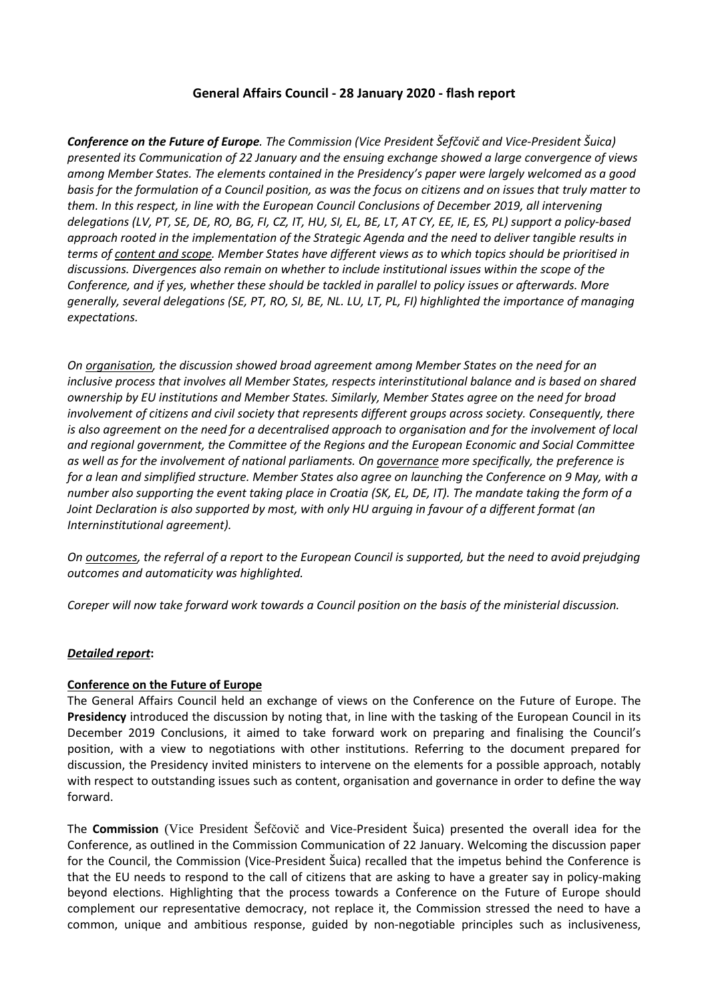## **General Affairs Council - 28 January 2020 - flash report**

*Conference on the Future of Europe. The Commission (Vice President Šefčovič and Vice-President Šuica) presented its Communication of 22 January and the ensuing exchange showed a large convergence of views among Member States. The elements contained in the Presidency's paper were largely welcomed as a good basis for the formulation of a Council position, as was the focus on citizens and on issues that truly matter to them. In this respect, in line with the European Council Conclusions of December 2019, all intervening delegations (LV, PT, SE, DE, RO, BG, FI, CZ, IT, HU, SI, EL, BE, LT, AT CY, EE, IE, ES, PL) support a policy-based approach rooted in the implementation of the Strategic Agenda and the need to deliver tangible results in terms of content and scope. Member States have different views as to which topics should be prioritised in discussions. Divergences also remain on whether to include institutional issues within the scope of the Conference, and if yes, whether these should be tackled in parallel to policy issues or afterwards. More generally, several delegations (SE, PT, RO, SI, BE, NL. LU, LT, PL, FI) highlighted the importance of managing expectations.* 

*On organisation, the discussion showed broad agreement among Member States on the need for an inclusive process that involves all Member States, respects interinstitutional balance and is based on shared ownership by EU institutions and Member States. Similarly, Member States agree on the need for broad involvement of citizens and civil society that represents different groups across society. Consequently, there is also agreement on the need for a decentralised approach to organisation and for the involvement of local and regional government, the Committee of the Regions and the European Economic and Social Committee as well as for the involvement of national parliaments. On governance more specifically, the preference is for a lean and simplified structure. Member States also agree on launching the Conference on 9 May, with a number also supporting the event taking place in Croatia (SK, EL, DE, IT). The mandate taking the form of a Joint Declaration is also supported by most, with only HU arguing in favour of a different format (an Interninstitutional agreement).* 

*On outcomes, the referral of a report to the European Council is supported, but the need to avoid prejudging outcomes and automaticity was highlighted.* 

*Coreper will now take forward work towards a Council position on the basis of the ministerial discussion.* 

## *Detailed report***:**

## **Conference on the Future of Europe**

The General Affairs Council held an exchange of views on the Conference on the Future of Europe. The **Presidency** introduced the discussion by noting that, in line with the tasking of the European Council in its December 2019 Conclusions, it aimed to take forward work on preparing and finalising the Council's position, with a view to negotiations with other institutions. Referring to the document prepared for discussion, the Presidency invited ministers to intervene on the elements for a possible approach, notably with respect to outstanding issues such as content, organisation and governance in order to define the way forward.

The **Commission** (Vice President Šefčovič and Vice-President Šuica) presented the overall idea for the Conference, as outlined in the Commission Communication of 22 January. Welcoming the discussion paper for the Council, the Commission (Vice-President Šuica) recalled that the impetus behind the Conference is that the EU needs to respond to the call of citizens that are asking to have a greater say in policy-making beyond elections. Highlighting that the process towards a Conference on the Future of Europe should complement our representative democracy, not replace it, the Commission stressed the need to have a common, unique and ambitious response, guided by non-negotiable principles such as inclusiveness,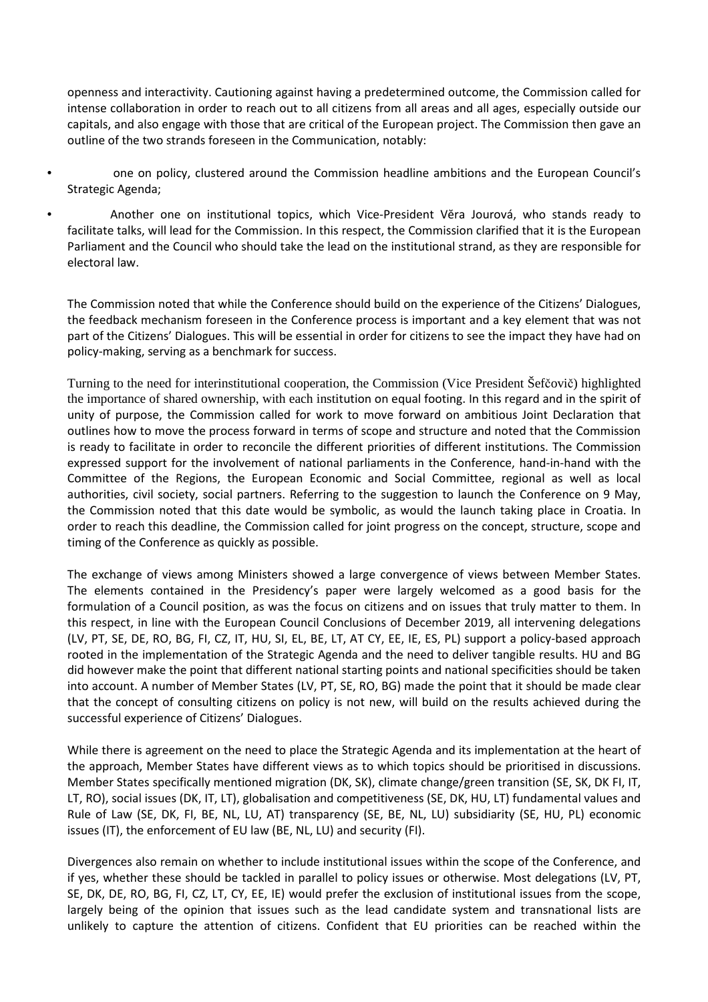openness and interactivity. Cautioning against having a predetermined outcome, the Commission called for intense collaboration in order to reach out to all citizens from all areas and all ages, especially outside our capitals, and also engage with those that are critical of the European project. The Commission then gave an outline of the two strands foreseen in the Communication, notably:

- one on policy, clustered around the Commission headline ambitions and the European Council's Strategic Agenda;
- Another one on institutional topics, which Vice-President Vĕra Jourová, who stands ready to facilitate talks, will lead for the Commission. In this respect, the Commission clarified that it is the European Parliament and the Council who should take the lead on the institutional strand, as they are responsible for electoral law.

The Commission noted that while the Conference should build on the experience of the Citizens' Dialogues, the feedback mechanism foreseen in the Conference process is important and a key element that was not part of the Citizens' Dialogues. This will be essential in order for citizens to see the impact they have had on policy-making, serving as a benchmark for success.

Turning to the need for interinstitutional cooperation, the Commission (Vice President Šefčovič) highlighted the importance of shared ownership, with each institution on equal footing. In this regard and in the spirit of unity of purpose, the Commission called for work to move forward on ambitious Joint Declaration that outlines how to move the process forward in terms of scope and structure and noted that the Commission is ready to facilitate in order to reconcile the different priorities of different institutions. The Commission expressed support for the involvement of national parliaments in the Conference, hand-in-hand with the Committee of the Regions, the European Economic and Social Committee, regional as well as local authorities, civil society, social partners. Referring to the suggestion to launch the Conference on 9 May, the Commission noted that this date would be symbolic, as would the launch taking place in Croatia. In order to reach this deadline, the Commission called for joint progress on the concept, structure, scope and timing of the Conference as quickly as possible.

The exchange of views among Ministers showed a large convergence of views between Member States. The elements contained in the Presidency's paper were largely welcomed as a good basis for the formulation of a Council position, as was the focus on citizens and on issues that truly matter to them. In this respect, in line with the European Council Conclusions of December 2019, all intervening delegations (LV, PT, SE, DE, RO, BG, FI, CZ, IT, HU, SI, EL, BE, LT, AT CY, EE, IE, ES, PL) support a policy-based approach rooted in the implementation of the Strategic Agenda and the need to deliver tangible results. HU and BG did however make the point that different national starting points and national specificities should be taken into account. A number of Member States (LV, PT, SE, RO, BG) made the point that it should be made clear that the concept of consulting citizens on policy is not new, will build on the results achieved during the successful experience of Citizens' Dialogues.

While there is agreement on the need to place the Strategic Agenda and its implementation at the heart of the approach, Member States have different views as to which topics should be prioritised in discussions. Member States specifically mentioned migration (DK, SK), climate change/green transition (SE, SK, DK FI, IT, LT, RO), social issues (DK, IT, LT), globalisation and competitiveness (SE, DK, HU, LT) fundamental values and Rule of Law (SE, DK, FI, BE, NL, LU, AT) transparency (SE, BE, NL, LU) subsidiarity (SE, HU, PL) economic issues (IT), the enforcement of EU law (BE, NL, LU) and security (FI).

Divergences also remain on whether to include institutional issues within the scope of the Conference, and if yes, whether these should be tackled in parallel to policy issues or otherwise. Most delegations (LV, PT, SE, DK, DE, RO, BG, FI, CZ, LT, CY, EE, IE) would prefer the exclusion of institutional issues from the scope, largely being of the opinion that issues such as the lead candidate system and transnational lists are unlikely to capture the attention of citizens. Confident that EU priorities can be reached within the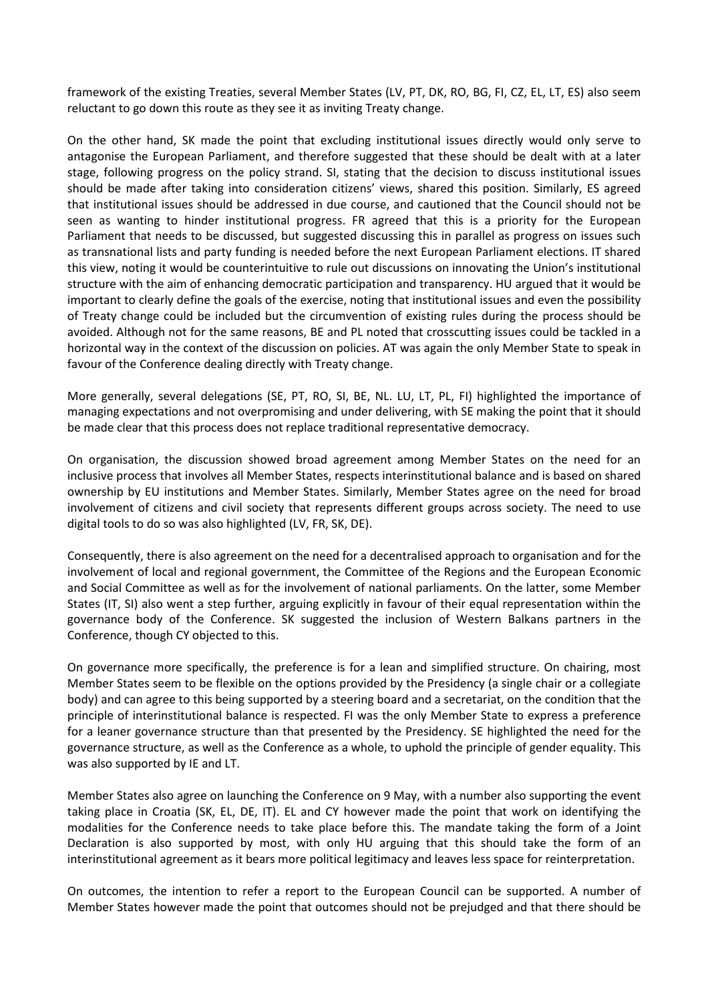framework of the existing Treaties, several Member States (LV, PT, DK, RO, BG, FI, CZ, EL, LT, ES) also seem reluctant to go down this route as they see it as inviting Treaty change.

On the other hand, SK made the point that excluding institutional issues directly would only serve to antagonise the European Parliament, and therefore suggested that these should be dealt with at a later stage, following progress on the policy strand. SI, stating that the decision to discuss institutional issues should be made after taking into consideration citizens' views, shared this position. Similarly, ES agreed that institutional issues should be addressed in due course, and cautioned that the Council should not be seen as wanting to hinder institutional progress. FR agreed that this is a priority for the European Parliament that needs to be discussed, but suggested discussing this in parallel as progress on issues such as transnational lists and party funding is needed before the next European Parliament elections. IT shared this view, noting it would be counterintuitive to rule out discussions on innovating the Union's institutional structure with the aim of enhancing democratic participation and transparency. HU argued that it would be important to clearly define the goals of the exercise, noting that institutional issues and even the possibility of Treaty change could be included but the circumvention of existing rules during the process should be avoided. Although not for the same reasons, BE and PL noted that crosscutting issues could be tackled in a horizontal way in the context of the discussion on policies. AT was again the only Member State to speak in favour of the Conference dealing directly with Treaty change.

More generally, several delegations (SE, PT, RO, SI, BE, NL. LU, LT, PL, FI) highlighted the importance of managing expectations and not overpromising and under delivering, with SE making the point that it should be made clear that this process does not replace traditional representative democracy.

On organisation, the discussion showed broad agreement among Member States on the need for an inclusive process that involves all Member States, respects interinstitutional balance and is based on shared ownership by EU institutions and Member States. Similarly, Member States agree on the need for broad involvement of citizens and civil society that represents different groups across society. The need to use digital tools to do so was also highlighted (LV, FR, SK, DE).

Consequently, there is also agreement on the need for a decentralised approach to organisation and for the involvement of local and regional government, the Committee of the Regions and the European Economic and Social Committee as well as for the involvement of national parliaments. On the latter, some Member States (IT, SI) also went a step further, arguing explicitly in favour of their equal representation within the governance body of the Conference. SK suggested the inclusion of Western Balkans partners in the Conference, though CY objected to this.

On governance more specifically, the preference is for a lean and simplified structure. On chairing, most Member States seem to be flexible on the options provided by the Presidency (a single chair or a collegiate body) and can agree to this being supported by a steering board and a secretariat, on the condition that the principle of interinstitutional balance is respected. FI was the only Member State to express a preference for a leaner governance structure than that presented by the Presidency. SE highlighted the need for the governance structure, as well as the Conference as a whole, to uphold the principle of gender equality. This was also supported by IE and LT.

Member States also agree on launching the Conference on 9 May, with a number also supporting the event taking place in Croatia (SK, EL, DE, IT). EL and CY however made the point that work on identifying the modalities for the Conference needs to take place before this. The mandate taking the form of a Joint Declaration is also supported by most, with only HU arguing that this should take the form of an interinstitutional agreement as it bears more political legitimacy and leaves less space for reinterpretation.

On outcomes, the intention to refer a report to the European Council can be supported. A number of Member States however made the point that outcomes should not be prejudged and that there should be